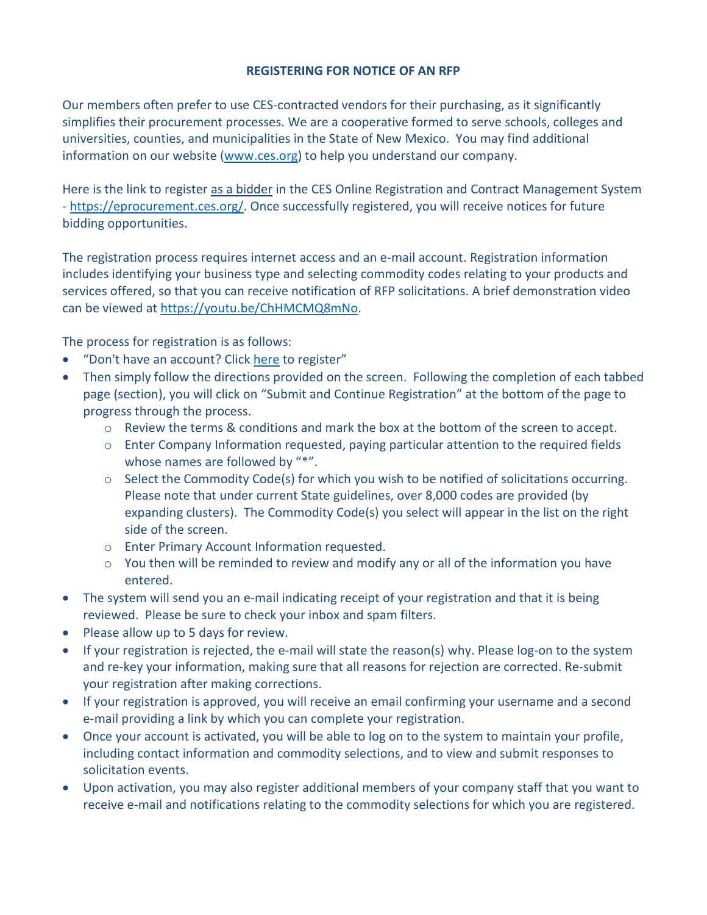## **REGISTERING FOR NOTICE OF AN RFP**

Our members often prefer to use CES-contracted vendors for their purchasing, as it significantly simplifies their procurement processes. We are a cooperative formed to serve schools, colleges and universities, counties, and municipalities in the State of New Mexico. You may find additional information on our website (www.ces.org) to help you understand our company.

Here is the link to register as a bidder in the CES Online Registration and Contract Management System - https://eprocurement.ces.org/. Once successfully registered, you will receive notices for future bidding opportunities.

The registration process requires internet access and an e-mail account. Registration information includes identifying your business type and selecting commodity codes relating to your products and services offered, so that you can receive notification of RFP solicitations. A brief demonstration video can be viewed at https://youtu.be/ChHMCMQ8mNo.

The process for registration is as follows:

- "Don't have an account? Click here to register"
- Then simply follow the directions provided on the screen. Following the completion of each tabbed page (section), you will click on "Submit and Continue Registration" at the bottom of the page to progress through the process.
	- o Review the terms & conditions and mark the box at the bottom of the screen to accept.
	- $\circ$  Enter Company Information requested, paying particular attention to the required fields whose names are followed by "\*".
	- $\circ$  Select the Commodity Code(s) for which you wish to be notified of solicitations occurring. Please note that under current State guidelines, over 8,000 codes are provided (by expanding clusters). The Commodity Code(s) you select will appear in the list on the right side of the screen.
	- o Enter Primary Account Information requested.
	- o You then will be reminded to review and modify any or all of the information you have entered.
- The system will send you an e-mail indicating receipt of your registration and that it is being reviewed. Please be sure to check your inbox and spam filters.
- Please allow up to 5 days for review.
- If your registration is rejected, the e-mail will state the reason(s) why. Please log-on to the system and re-key your information, making sure that all reasons for rejection are corrected. Re-submit your registration after making corrections.
- If your registration is approved, you will receive an email confirming your username and a second e-mail providing a link by which you can complete your registration.
- Once your account is activated, you will be able to log on to the system to maintain your profile, including contact information and commodity selections, and to view and submit responses to solicitation events.
- Upon activation, you may also register additional members of your company staff that you want to receive e-mail and notifications relating to the commodity selections for which you are registered.